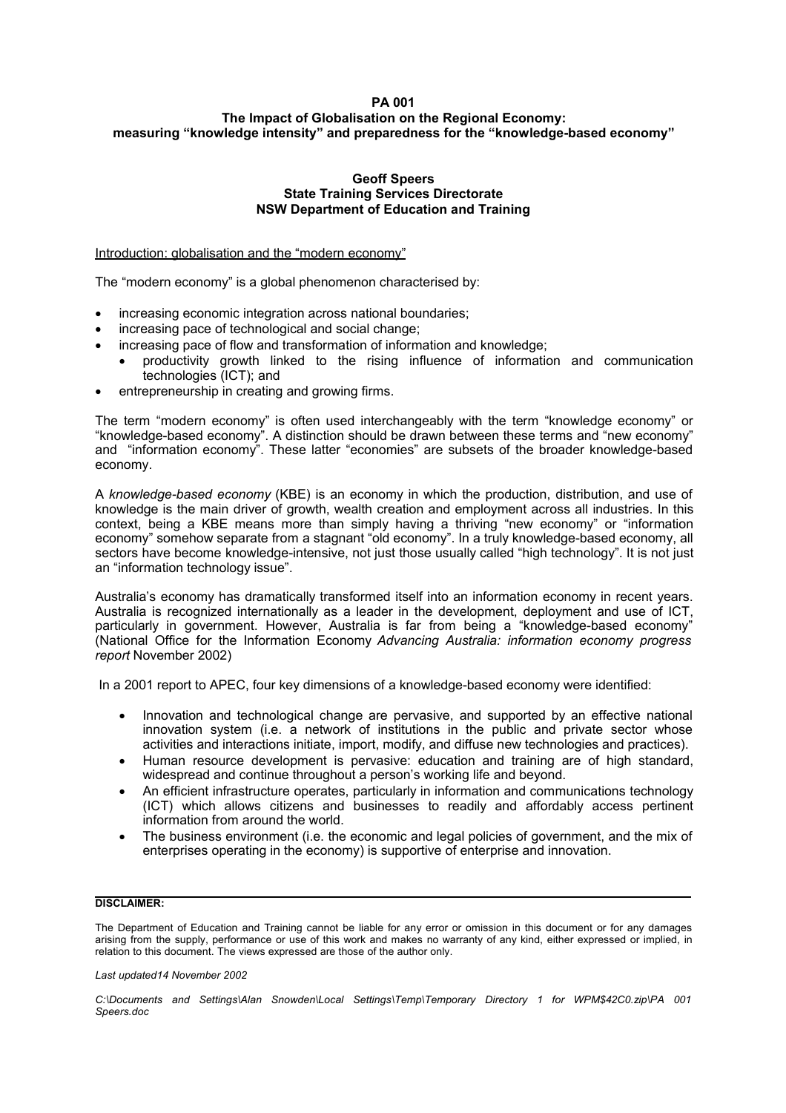# **PA 001**

# **The Impact of Globalisation on the Regional Economy: measuring "knowledge intensity" and preparedness for the "knowledge-based economy"**

### **Geoff Speers State Training Services Directorate NSW Department of Education and Training**

Introduction: globalisation and the "modern economy"

The "modern economy" is a global phenomenon characterised by:

- increasing economic integration across national boundaries:
- increasing pace of technological and social change;
- increasing pace of flow and transformation of information and knowledge;
- productivity growth linked to the rising influence of information and communication technologies (ICT); and
- entrepreneurship in creating and growing firms.

The term "modern economy" is often used interchangeably with the term "knowledge economy" or "knowledge-based economy". A distinction should be drawn between these terms and "new economy" and "information economy". These latter "economies" are subsets of the broader knowledge-based economy.

A *knowledge-based economy* (KBE) is an economy in which the production, distribution, and use of knowledge is the main driver of growth, wealth creation and employment across all industries. In this context, being a KBE means more than simply having a thriving "new economy" or "information economy" somehow separate from a stagnant "old economy". In a truly knowledge-based economy, all sectors have become knowledge-intensive, not just those usually called "high technology". It is not just an "information technology issue".

Australia's economy has dramatically transformed itself into an information economy in recent years. Australia is recognized internationally as a leader in the development, deployment and use of ICT, particularly in government. However, Australia is far from being a "knowledge-based economy" (National Office for the Information Economy *Advancing Australia: information economy progress report* November 2002)

In a 2001 report to APEC, four key dimensions of a knowledge-based economy were identified:

- Innovation and technological change are pervasive, and supported by an effective national innovation system (i.e. a network of institutions in the public and private sector whose activities and interactions initiate, import, modify, and diffuse new technologies and practices).
- Human resource development is pervasive: education and training are of high standard, widespread and continue throughout a person's working life and beyond.
- An efficient infrastructure operates, particularly in information and communications technology (ICT) which allows citizens and businesses to readily and affordably access pertinent information from around the world.
- The business environment (i.e. the economic and legal policies of government, and the mix of enterprises operating in the economy) is supportive of enterprise and innovation.

## **DISCLAIMER:**

The Department of Education and Training cannot be liable for any error or omission in this document or for any damages arising from the supply, performance or use of this work and makes no warranty of any kind, either expressed or implied, in relation to this document. The views expressed are those of the author only.

*Last updated14 November 2002*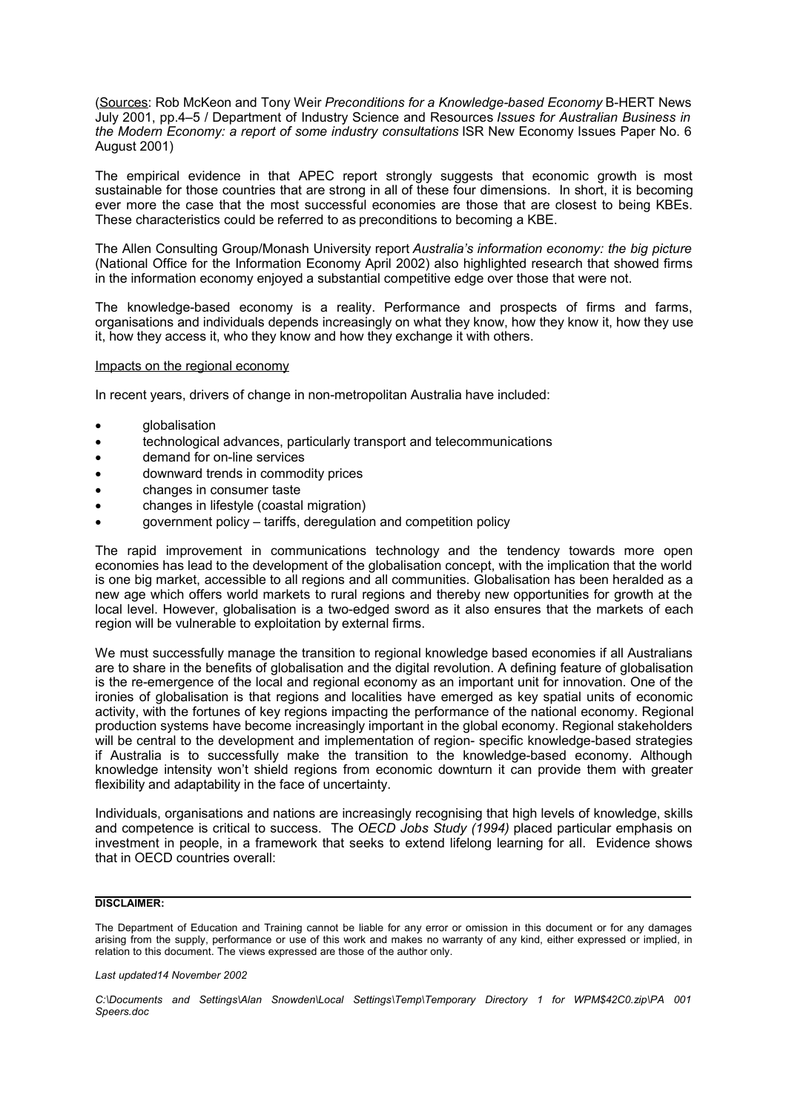(Sources: Rob McKeon and Tony Weir *Preconditions for a Knowledge-based Economy* B-HERT News July 2001, pp.4–5 / Department of Industry Science and Resources *Issues for Australian Business in the Modern Economy: a report of some industry consultations* ISR New Economy Issues Paper No. 6 August 2001)

The empirical evidence in that APEC report strongly suggests that economic growth is most sustainable for those countries that are strong in all of these four dimensions. In short, it is becoming ever more the case that the most successful economies are those that are closest to being KBEs. These characteristics could be referred to as preconditions to becoming a KBE.

The Allen Consulting Group/Monash University report *Australia's information economy: the big picture* (National Office for the Information Economy April 2002) also highlighted research that showed firms in the information economy enjoyed a substantial competitive edge over those that were not.

The knowledge-based economy is a reality. Performance and prospects of firms and farms, organisations and individuals depends increasingly on what they know, how they know it, how they use it, how they access it, who they know and how they exchange it with others.

### Impacts on the regional economy

In recent years, drivers of change in non-metropolitan Australia have included:

- globalisation
- technological advances, particularly transport and telecommunications
- demand for on-line services
- downward trends in commodity prices
- changes in consumer taste
- changes in lifestyle (coastal migration)
- government policy tariffs, deregulation and competition policy

The rapid improvement in communications technology and the tendency towards more open economies has lead to the development of the globalisation concept, with the implication that the world is one big market, accessible to all regions and all communities. Globalisation has been heralded as a new age which offers world markets to rural regions and thereby new opportunities for growth at the local level. However, globalisation is a two-edged sword as it also ensures that the markets of each region will be vulnerable to exploitation by external firms.

We must successfully manage the transition to regional knowledge based economies if all Australians are to share in the benefits of globalisation and the digital revolution. A defining feature of globalisation is the re-emergence of the local and regional economy as an important unit for innovation. One of the ironies of globalisation is that regions and localities have emerged as key spatial units of economic activity, with the fortunes of key regions impacting the performance of the national economy. Regional production systems have become increasingly important in the global economy. Regional stakeholders will be central to the development and implementation of region- specific knowledge-based strategies if Australia is to successfully make the transition to the knowledge-based economy. Although knowledge intensity won't shield regions from economic downturn it can provide them with greater flexibility and adaptability in the face of uncertainty.

Individuals, organisations and nations are increasingly recognising that high levels of knowledge, skills and competence is critical to success. The *OECD Jobs Study (1994)* placed particular emphasis on investment in people, in a framework that seeks to extend lifelong learning for all. Evidence shows that in OECD countries overall:

## **DISCLAIMER:**

The Department of Education and Training cannot be liable for any error or omission in this document or for any damages arising from the supply, performance or use of this work and makes no warranty of any kind, either expressed or implied, in relation to this document. The views expressed are those of the author only.

*Last updated14 November 2002*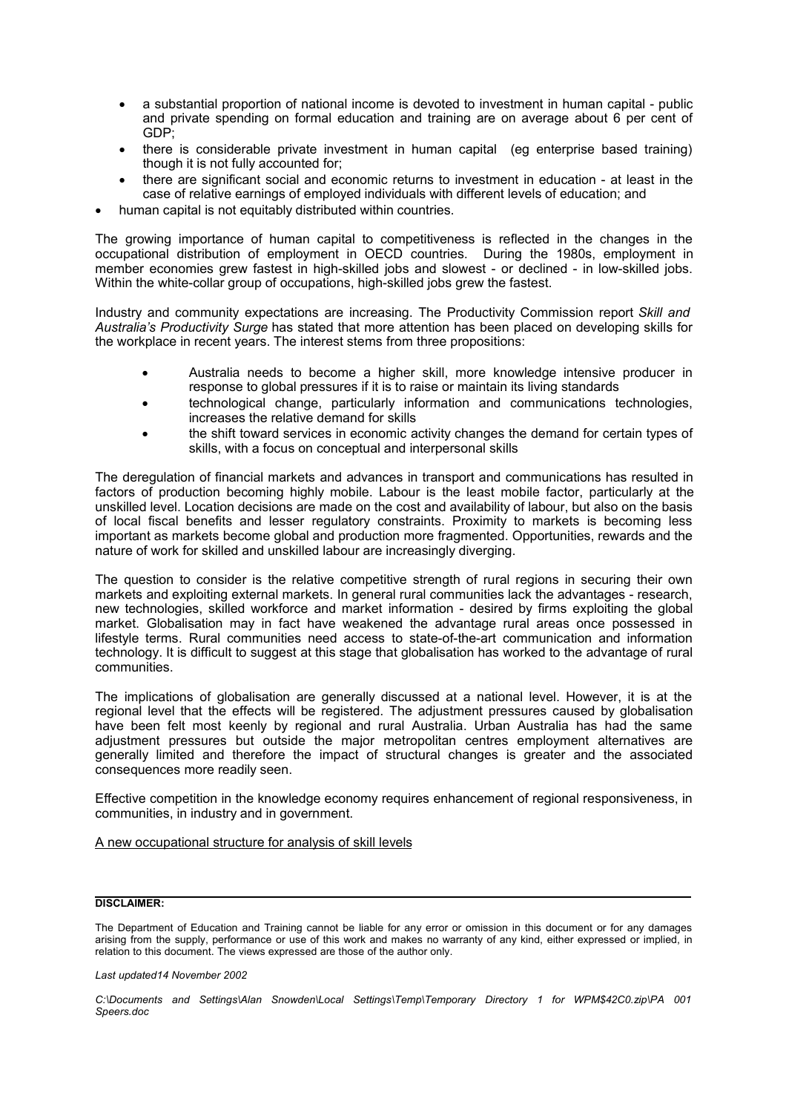- a substantial proportion of national income is devoted to investment in human capital public and private spending on formal education and training are on average about 6 per cent of GDP;
- there is considerable private investment in human capital (eg enterprise based training) though it is not fully accounted for;
- there are significant social and economic returns to investment in education at least in the case of relative earnings of employed individuals with different levels of education; and
- human capital is not equitably distributed within countries.

The growing importance of human capital to competitiveness is reflected in the changes in the occupational distribution of employment in OECD countries. During the 1980s, employment in member economies grew fastest in high-skilled jobs and slowest - or declined - in low-skilled jobs. Within the white-collar group of occupations, high-skilled jobs grew the fastest.

Industry and community expectations are increasing. The Productivity Commission report *Skill and Australia's Productivity Surge* has stated that more attention has been placed on developing skills for the workplace in recent years. The interest stems from three propositions:

- Australia needs to become a higher skill, more knowledge intensive producer in response to global pressures if it is to raise or maintain its living standards
- technological change, particularly information and communications technologies, increases the relative demand for skills
- the shift toward services in economic activity changes the demand for certain types of skills, with a focus on conceptual and interpersonal skills

The deregulation of financial markets and advances in transport and communications has resulted in factors of production becoming highly mobile. Labour is the least mobile factor, particularly at the unskilled level. Location decisions are made on the cost and availability of labour, but also on the basis of local fiscal benefits and lesser regulatory constraints. Proximity to markets is becoming less important as markets become global and production more fragmented. Opportunities, rewards and the nature of work for skilled and unskilled labour are increasingly diverging.

The question to consider is the relative competitive strength of rural regions in securing their own markets and exploiting external markets. In general rural communities lack the advantages - research, new technologies, skilled workforce and market information - desired by firms exploiting the global market. Globalisation may in fact have weakened the advantage rural areas once possessed in lifestyle terms. Rural communities need access to state-of-the-art communication and information technology. It is difficult to suggest at this stage that globalisation has worked to the advantage of rural communities.

The implications of globalisation are generally discussed at a national level. However, it is at the regional level that the effects will be registered. The adjustment pressures caused by globalisation have been felt most keenly by regional and rural Australia. Urban Australia has had the same adjustment pressures but outside the major metropolitan centres employment alternatives are generally limited and therefore the impact of structural changes is greater and the associated consequences more readily seen.

Effective competition in the knowledge economy requires enhancement of regional responsiveness, in communities, in industry and in government.

## A new occupational structure for analysis of skill levels

## **DISCLAIMER:**

The Department of Education and Training cannot be liable for any error or omission in this document or for any damages arising from the supply, performance or use of this work and makes no warranty of any kind, either expressed or implied, in relation to this document. The views expressed are those of the author only.

*Last updated14 November 2002*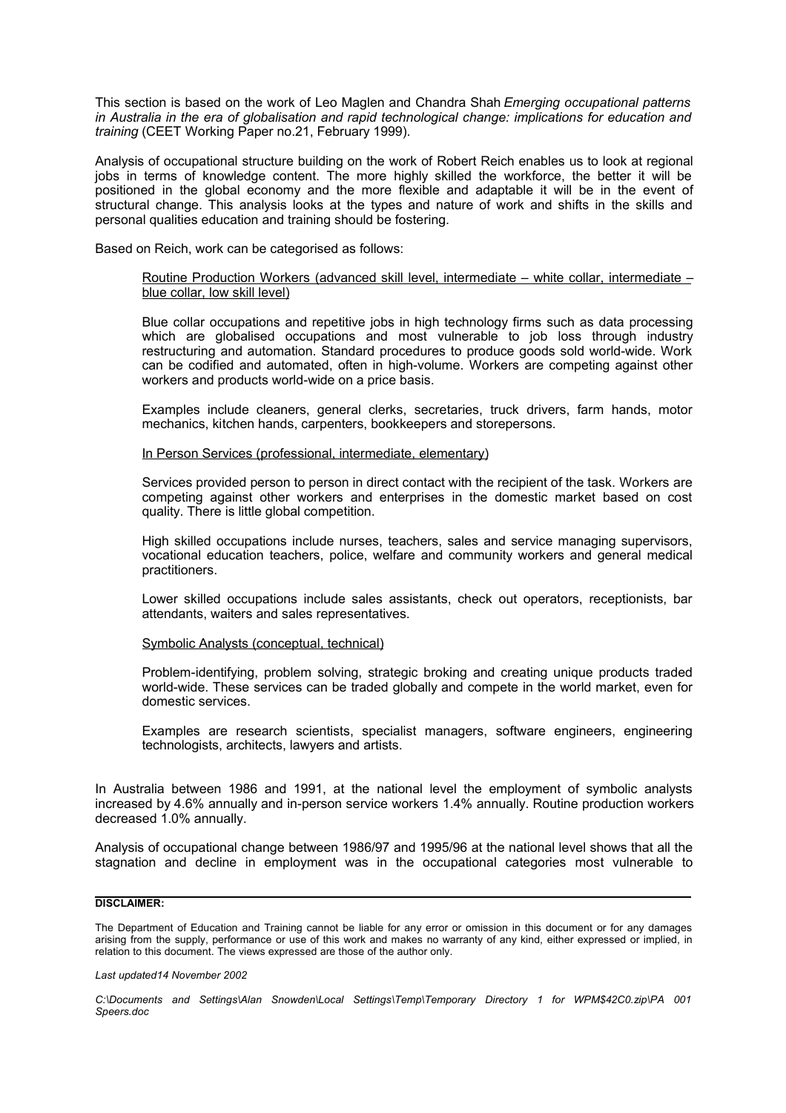This section is based on the work of Leo Maglen and Chandra Shah *Emerging occupational patterns in Australia in the era of globalisation and rapid technological change: implications for education and training* (CEET Working Paper no.21, February 1999).

Analysis of occupational structure building on the work of Robert Reich enables us to look at regional jobs in terms of knowledge content. The more highly skilled the workforce, the better it will be positioned in the global economy and the more flexible and adaptable it will be in the event of structural change. This analysis looks at the types and nature of work and shifts in the skills and personal qualities education and training should be fostering.

Based on Reich, work can be categorised as follows:

### Routine Production Workers (advanced skill level, intermediate – white collar, intermediate – blue collar, low skill level)

Blue collar occupations and repetitive jobs in high technology firms such as data processing which are globalised occupations and most vulnerable to job loss through industry restructuring and automation. Standard procedures to produce goods sold world-wide. Work can be codified and automated, often in high-volume. Workers are competing against other workers and products world-wide on a price basis.

Examples include cleaners, general clerks, secretaries, truck drivers, farm hands, motor mechanics, kitchen hands, carpenters, bookkeepers and storepersons.

In Person Services (professional, intermediate, elementary)

Services provided person to person in direct contact with the recipient of the task. Workers are competing against other workers and enterprises in the domestic market based on cost quality. There is little global competition.

High skilled occupations include nurses, teachers, sales and service managing supervisors, vocational education teachers, police, welfare and community workers and general medical practitioners.

Lower skilled occupations include sales assistants, check out operators, receptionists, bar attendants, waiters and sales representatives.

### Symbolic Analysts (conceptual, technical)

Problem-identifying, problem solving, strategic broking and creating unique products traded world-wide. These services can be traded globally and compete in the world market, even for domestic services.

Examples are research scientists, specialist managers, software engineers, engineering technologists, architects, lawyers and artists.

In Australia between 1986 and 1991, at the national level the employment of symbolic analysts increased by 4.6% annually and in-person service workers 1.4% annually. Routine production workers decreased 1.0% annually.

Analysis of occupational change between 1986/97 and 1995/96 at the national level shows that all the stagnation and decline in employment was in the occupational categories most vulnerable to

## **DISCLAIMER:**

The Department of Education and Training cannot be liable for any error or omission in this document or for any damages arising from the supply, performance or use of this work and makes no warranty of any kind, either expressed or implied, in relation to this document. The views expressed are those of the author only.

*Last updated14 November 2002*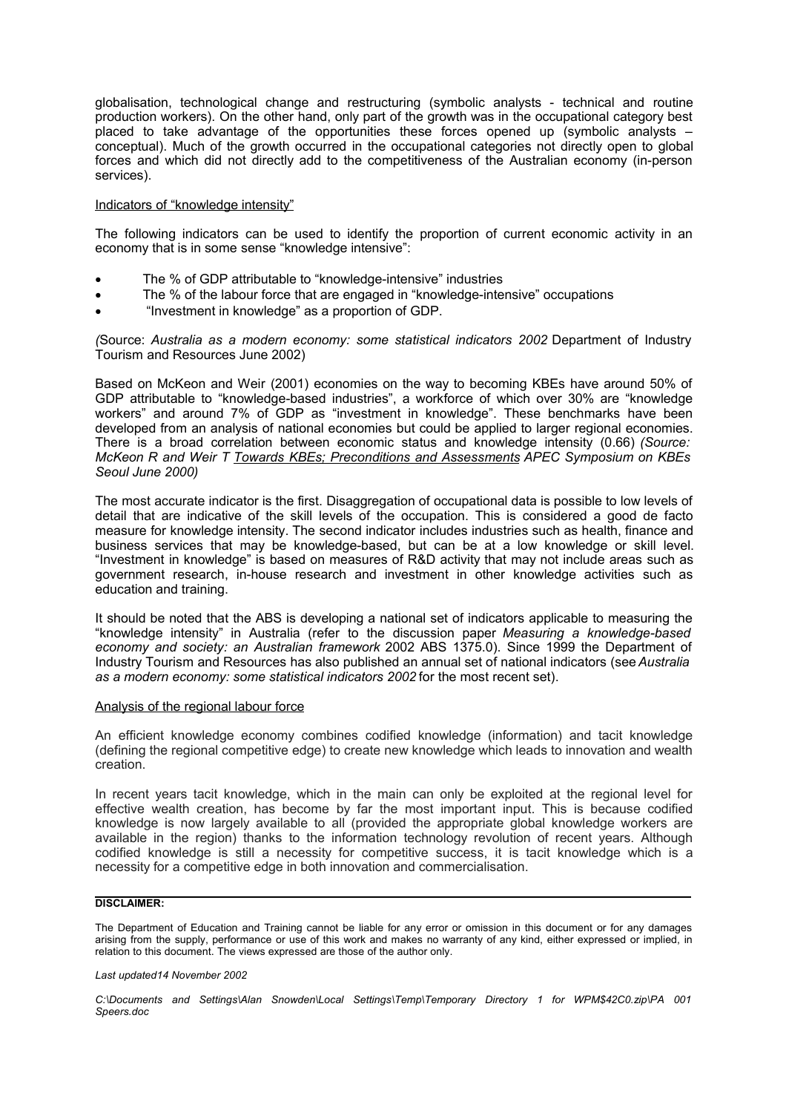globalisation, technological change and restructuring (symbolic analysts - technical and routine production workers). On the other hand, only part of the growth was in the occupational category best placed to take advantage of the opportunities these forces opened up (symbolic analysts – conceptual). Much of the growth occurred in the occupational categories not directly open to global forces and which did not directly add to the competitiveness of the Australian economy (in-person services).

### Indicators of "knowledge intensity"

The following indicators can be used to identify the proportion of current economic activity in an economy that is in some sense "knowledge intensive":

- The % of GDP attributable to "knowledge-intensive" industries
- The % of the labour force that are engaged in "knowledge-intensive" occupations
- "Investment in knowledge" as a proportion of GDP.

*(*Source: *Australia as a modern economy: some statistical indicators 2002* Department of Industry Tourism and Resources June 2002)

Based on McKeon and Weir (2001) economies on the way to becoming KBEs have around 50% of GDP attributable to "knowledge-based industries", a workforce of which over 30% are "knowledge workers" and around 7% of GDP as "investment in knowledge". These benchmarks have been developed from an analysis of national economies but could be applied to larger regional economies. There is a broad correlation between economic status and knowledge intensity (0.66) *(Source: McKeon R and Weir T Towards KBEs; Preconditions and Assessments APEC Symposium on KBEs Seoul June 2000)*

The most accurate indicator is the first. Disaggregation of occupational data is possible to low levels of detail that are indicative of the skill levels of the occupation. This is considered a good de facto measure for knowledge intensity. The second indicator includes industries such as health, finance and business services that may be knowledge-based, but can be at a low knowledge or skill level. "Investment in knowledge" is based on measures of R&D activity that may not include areas such as government research, in-house research and investment in other knowledge activities such as education and training.

It should be noted that the ABS is developing a national set of indicators applicable to measuring the "knowledge intensity" in Australia (refer to the discussion paper *Measuring a knowledge-based economy and society: an Australian framework* 2002 ABS 1375.0). Since 1999 the Department of Industry Tourism and Resources has also published an annual set of national indicators (see*Australia as a modern economy: some statistical indicators 2002*for the most recent set).

### Analysis of the regional labour force

An efficient knowledge economy combines codified knowledge (information) and tacit knowledge (defining the regional competitive edge) to create new knowledge which leads to innovation and wealth creation.

In recent years tacit knowledge, which in the main can only be exploited at the regional level for effective wealth creation, has become by far the most important input. This is because codified knowledge is now largely available to all (provided the appropriate global knowledge workers are available in the region) thanks to the information technology revolution of recent years. Although codified knowledge is still a necessity for competitive success, it is tacit knowledge which is a necessity for a competitive edge in both innovation and commercialisation.

# **DISCLAIMER:**

The Department of Education and Training cannot be liable for any error or omission in this document or for any damages arising from the supply, performance or use of this work and makes no warranty of any kind, either expressed or implied, in relation to this document. The views expressed are those of the author only.

#### *Last updated14 November 2002*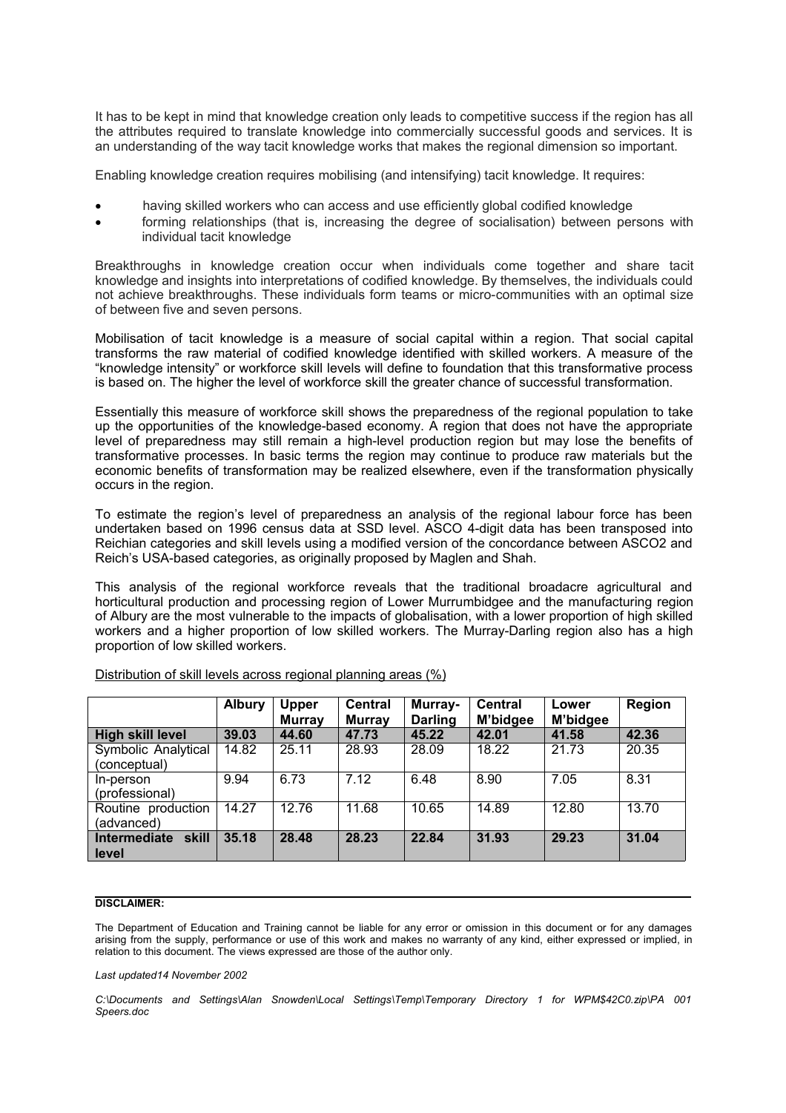It has to be kept in mind that knowledge creation only leads to competitive success if the region has all the attributes required to translate knowledge into commercially successful goods and services. It is an understanding of the way tacit knowledge works that makes the regional dimension so important.

Enabling knowledge creation requires mobilising (and intensifying) tacit knowledge. It requires:

- having skilled workers who can access and use efficiently global codified knowledge
- forming relationships (that is, increasing the degree of socialisation) between persons with individual tacit knowledge

Breakthroughs in knowledge creation occur when individuals come together and share tacit knowledge and insights into interpretations of codified knowledge. By themselves, the individuals could not achieve breakthroughs. These individuals form teams or micro-communities with an optimal size of between five and seven persons.

Mobilisation of tacit knowledge is a measure of social capital within a region. That social capital transforms the raw material of codified knowledge identified with skilled workers. A measure of the "knowledge intensity" or workforce skill levels will define to foundation that this transformative process is based on. The higher the level of workforce skill the greater chance of successful transformation.

Essentially this measure of workforce skill shows the preparedness of the regional population to take up the opportunities of the knowledge-based economy. A region that does not have the appropriate level of preparedness may still remain a high-level production region but may lose the benefits of transformative processes. In basic terms the region may continue to produce raw materials but the economic benefits of transformation may be realized elsewhere, even if the transformation physically occurs in the region.

To estimate the region's level of preparedness an analysis of the regional labour force has been undertaken based on 1996 census data at SSD level. ASCO 4-digit data has been transposed into Reichian categories and skill levels using a modified version of the concordance between ASCO2 and Reich's USA-based categories, as originally proposed by Maglen and Shah.

This analysis of the regional workforce reveals that the traditional broadacre agricultural and horticultural production and processing region of Lower Murrumbidgee and the manufacturing region of Albury are the most vulnerable to the impacts of globalisation, with a lower proportion of high skilled workers and a higher proportion of low skilled workers. The Murray-Darling region also has a high proportion of low skilled workers.

|                                       | <b>Albury</b> | <b>Upper</b><br><b>Murray</b> | <b>Central</b><br><b>Murray</b> | Murray-<br><b>Darling</b> | <b>Central</b><br>M'bidgee | Lower<br>M'bidgee | Region |
|---------------------------------------|---------------|-------------------------------|---------------------------------|---------------------------|----------------------------|-------------------|--------|
| <b>High skill level</b>               | 39.03         | 44.60                         | 47.73                           | 45.22                     | 42.01                      | 41.58             | 42.36  |
| Symbolic Analytical                   | 14.82         | 25.11                         | 28.93                           | 28.09                     | 18.22                      | 21.73             | 20.35  |
| (conceptual)                          |               |                               |                                 |                           |                            |                   |        |
| In-person                             | 9.94          | 6.73                          | 7.12                            | 6.48                      | 8.90                       | 7.05              | 8.31   |
| (professional)                        |               |                               |                                 |                           |                            |                   |        |
| Routine production                    | 14.27         | 12.76                         | 11.68                           | 10.65                     | 14.89                      | 12.80             | 13.70  |
| (advanced)                            |               |                               |                                 |                           |                            |                   |        |
| skill<br><b>Intermediate</b><br>level | 35.18         | 28.48                         | 28.23                           | 22.84                     | 31.93                      | 29.23             | 31.04  |

Distribution of skill levels across regional planning areas (%)

## **DISCLAIMER:**

The Department of Education and Training cannot be liable for any error or omission in this document or for any damages arising from the supply, performance or use of this work and makes no warranty of any kind, either expressed or implied, in relation to this document. The views expressed are those of the author only.

*Last updated14 November 2002*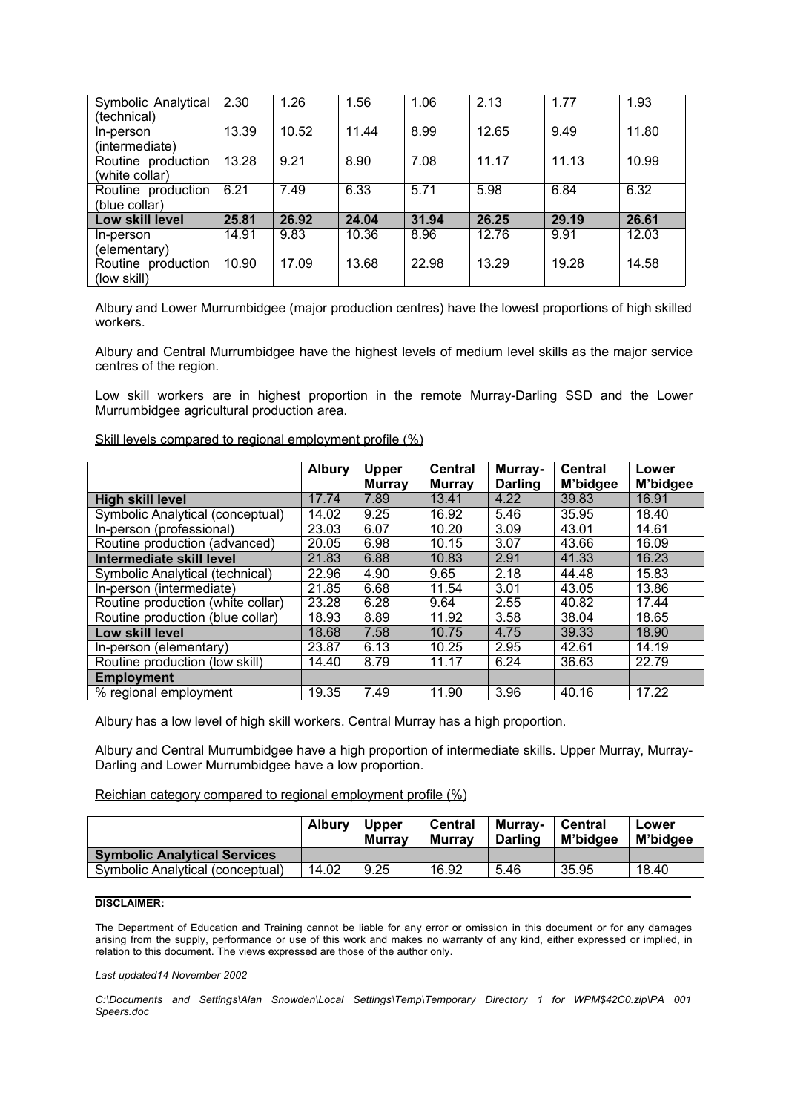| Symbolic Analytical<br>(technical)   | 2.30  | 1.26  | 1.56  | 1.06  | 2.13  | 1.77  | 1.93  |
|--------------------------------------|-------|-------|-------|-------|-------|-------|-------|
| In-person<br>(intermediate)          | 13.39 | 10.52 | 11.44 | 8.99  | 12.65 | 9.49  | 11.80 |
| Routine production<br>(white collar) | 13.28 | 9.21  | 8.90  | 7.08  | 11.17 | 11.13 | 10.99 |
| Routine production<br>(blue collar)  | 6.21  | 7.49  | 6.33  | 5.71  | 5.98  | 6.84  | 6.32  |
| Low skill level                      | 25.81 | 26.92 | 24.04 | 31.94 | 26.25 | 29.19 | 26.61 |
| In-person<br>(elementary)            | 14.91 | 9.83  | 10.36 | 8.96  | 12.76 | 9.91  | 12.03 |
| Routine production<br>(low skill)    | 10.90 | 17.09 | 13.68 | 22.98 | 13.29 | 19.28 | 14.58 |

Albury and Lower Murrumbidgee (major production centres) have the lowest proportions of high skilled workers.

Albury and Central Murrumbidgee have the highest levels of medium level skills as the major service centres of the region.

Low skill workers are in highest proportion in the remote Murray-Darling SSD and the Lower Murrumbidgee agricultural production area.

Skill levels compared to regional employment profile (%)

|                                   | <b>Albury</b> | Upper         | <b>Central</b> | Murray-        | <b>Central</b> | Lower    |
|-----------------------------------|---------------|---------------|----------------|----------------|----------------|----------|
|                                   |               | <b>Murray</b> | <b>Murray</b>  | <b>Darling</b> | M'bidgee       | M'bidgee |
| <b>High skill level</b>           | 17.74         | 7.89          | 13.41          | 4.22           | 39.83          | 16.91    |
| Symbolic Analytical (conceptual)  | 14.02         | 9.25          | 16.92          | 5.46           | 35.95          | 18.40    |
| In-person (professional)          | 23.03         | 6.07          | 10.20          | 3.09           | 43.01          | 14.61    |
| Routine production (advanced)     | 20.05         | 6.98          | 10.15          | 3.07           | 43.66          | 16.09    |
| Intermediate skill level          | 21.83         | 6.88          | 10.83          | 2.91           | 41.33          | 16.23    |
| Symbolic Analytical (technical)   | 22.96         | 4.90          | 9.65           | 2.18           | 44.48          | 15.83    |
| In-person (intermediate)          | 21.85         | 6.68          | 11.54          | 3.01           | 43.05          | 13.86    |
| Routine production (white collar) | 23.28         | 6.28          | 9.64           | 2.55           | 40.82          | 17.44    |
| Routine production (blue collar)  | 18.93         | 8.89          | 11.92          | 3.58           | 38.04          | 18.65    |
| Low skill level                   | 18.68         | 7.58          | 10.75          | 4.75           | 39.33          | 18.90    |
| In-person (elementary)            | 23.87         | 6.13          | 10.25          | 2.95           | 42.61          | 14.19    |
| Routine production (low skill)    | 14.40         | 8.79          | 11.17          | 6.24           | 36.63          | 22.79    |
| <b>Employment</b>                 |               |               |                |                |                |          |
| % regional employment             | 19.35         | 7.49          | 11.90          | 3.96           | 40.16          | 17.22    |

Albury has a low level of high skill workers. Central Murray has a high proportion.

Albury and Central Murrumbidgee have a high proportion of intermediate skills. Upper Murray, Murray-Darling and Lower Murrumbidgee have a low proportion.

Reichian category compared to regional employment profile (%)

|                                     | <b>Albury</b> | <b>Upper</b><br><b>Murrav</b> | Central<br><b>Murrav</b> | <b>Murray-</b><br><b>Darling</b> | Central<br>M'bidaee | Lower<br>M'bidgee |
|-------------------------------------|---------------|-------------------------------|--------------------------|----------------------------------|---------------------|-------------------|
| <b>Symbolic Analytical Services</b> |               |                               |                          |                                  |                     |                   |
| Symbolic Analytical (conceptual)    | 14.02         | 9.25                          | 16.92                    | 5.46                             | 35.95               | 18.40             |

## **DISCLAIMER:**

The Department of Education and Training cannot be liable for any error or omission in this document or for any damages arising from the supply, performance or use of this work and makes no warranty of any kind, either expressed or implied, in relation to this document. The views expressed are those of the author only.

### *Last updated14 November 2002*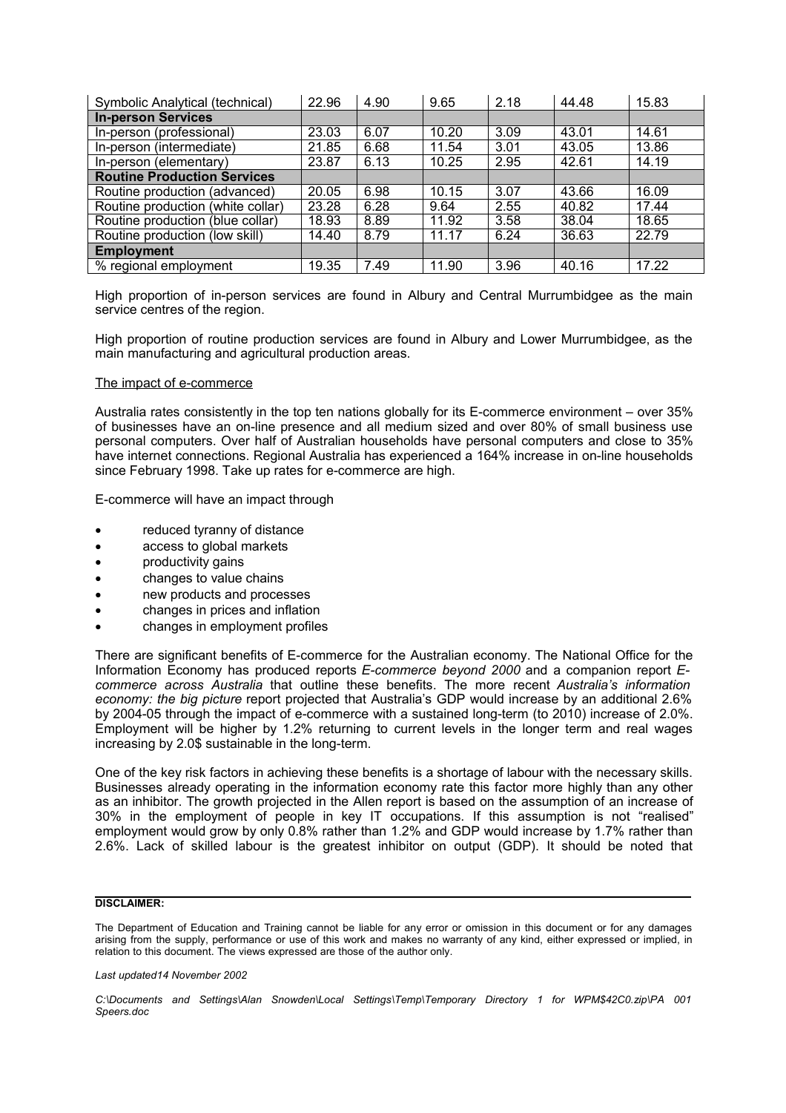| Symbolic Analytical (technical)    | 22.96 | 4.90 | 9.65  | 2.18 | 44.48 | 15.83 |
|------------------------------------|-------|------|-------|------|-------|-------|
| <b>In-person Services</b>          |       |      |       |      |       |       |
| In-person (professional)           | 23.03 | 6.07 | 10.20 | 3.09 | 43.01 | 14.61 |
| In-person (intermediate)           | 21.85 | 6.68 | 11.54 | 3.01 | 43.05 | 13.86 |
| In-person (elementary)             | 23.87 | 6.13 | 10.25 | 2.95 | 42.61 | 14.19 |
| <b>Routine Production Services</b> |       |      |       |      |       |       |
| Routine production (advanced)      | 20.05 | 6.98 | 10.15 | 3.07 | 43.66 | 16.09 |
| Routine production (white collar)  | 23.28 | 6.28 | 9.64  | 2.55 | 40.82 | 17.44 |
| Routine production (blue collar)   | 18.93 | 8.89 | 11.92 | 3.58 | 38.04 | 18.65 |
| Routine production (low skill)     | 14.40 | 8.79 | 11.17 | 6.24 | 36.63 | 22.79 |
| <b>Employment</b>                  |       |      |       |      |       |       |
| % regional employment              | 19.35 | 7.49 | 11.90 | 3.96 | 40.16 | 17.22 |

High proportion of in-person services are found in Albury and Central Murrumbidgee as the main service centres of the region.

High proportion of routine production services are found in Albury and Lower Murrumbidgee, as the main manufacturing and agricultural production areas.

### The impact of e-commerce

Australia rates consistently in the top ten nations globally for its E-commerce environment – over 35% of businesses have an on-line presence and all medium sized and over 80% of small business use personal computers. Over half of Australian households have personal computers and close to 35% have internet connections. Regional Australia has experienced a 164% increase in on-line households since February 1998. Take up rates for e-commerce are high.

E-commerce will have an impact through

- reduced tyranny of distance
- access to global markets
- productivity gains
- changes to value chains
- new products and processes
- changes in prices and inflation
- changes in employment profiles

There are significant benefits of E-commerce for the Australian economy. The National Office for the Information Economy has produced reports *E-commerce beyond 2000* and a companion report *Ecommerce across Australia* that outline these benefits. The more recent *Australia's information economy: the big picture* report projected that Australia's GDP would increase by an additional 2.6% by 2004-05 through the impact of e-commerce with a sustained long-term (to 2010) increase of 2.0%. Employment will be higher by 1.2% returning to current levels in the longer term and real wages increasing by 2.0\$ sustainable in the long-term.

One of the key risk factors in achieving these benefits is a shortage of labour with the necessary skills. Businesses already operating in the information economy rate this factor more highly than any other as an inhibitor. The growth projected in the Allen report is based on the assumption of an increase of 30% in the employment of people in key IT occupations. If this assumption is not "realised" employment would grow by only 0.8% rather than 1.2% and GDP would increase by 1.7% rather than 2.6%. Lack of skilled labour is the greatest inhibitor on output (GDP). It should be noted that

# **DISCLAIMER:**

The Department of Education and Training cannot be liable for any error or omission in this document or for any damages arising from the supply, performance or use of this work and makes no warranty of any kind, either expressed or implied, in relation to this document. The views expressed are those of the author only.

*Last updated14 November 2002*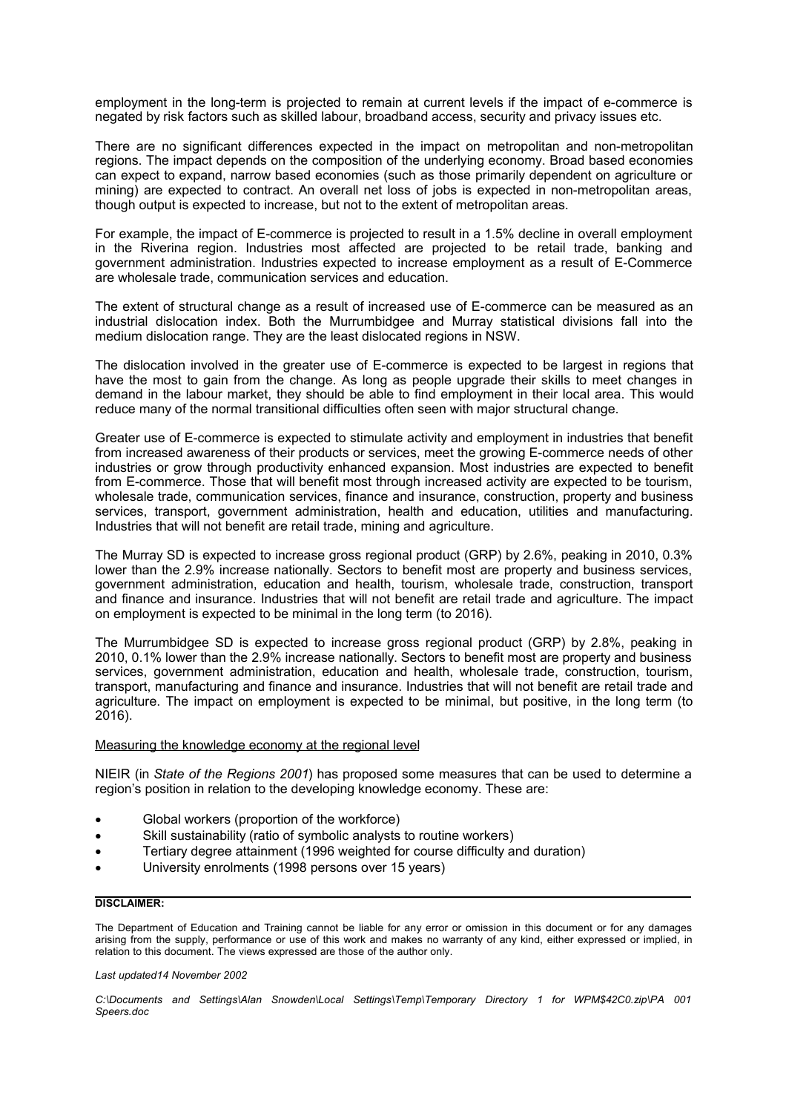employment in the long-term is projected to remain at current levels if the impact of e-commerce is negated by risk factors such as skilled labour, broadband access, security and privacy issues etc.

There are no significant differences expected in the impact on metropolitan and non-metropolitan regions. The impact depends on the composition of the underlying economy. Broad based economies can expect to expand, narrow based economies (such as those primarily dependent on agriculture or mining) are expected to contract. An overall net loss of jobs is expected in non-metropolitan areas, though output is expected to increase, but not to the extent of metropolitan areas.

For example, the impact of E-commerce is projected to result in a 1.5% decline in overall employment in the Riverina region. Industries most affected are projected to be retail trade, banking and government administration. Industries expected to increase employment as a result of E-Commerce are wholesale trade, communication services and education.

The extent of structural change as a result of increased use of E-commerce can be measured as an industrial dislocation index. Both the Murrumbidgee and Murray statistical divisions fall into the medium dislocation range. They are the least dislocated regions in NSW.

The dislocation involved in the greater use of E-commerce is expected to be largest in regions that have the most to gain from the change. As long as people upgrade their skills to meet changes in demand in the labour market, they should be able to find employment in their local area. This would reduce many of the normal transitional difficulties often seen with major structural change.

Greater use of E-commerce is expected to stimulate activity and employment in industries that benefit from increased awareness of their products or services, meet the growing E-commerce needs of other industries or grow through productivity enhanced expansion. Most industries are expected to benefit from E-commerce. Those that will benefit most through increased activity are expected to be tourism, wholesale trade, communication services, finance and insurance, construction, property and business services, transport, government administration, health and education, utilities and manufacturing. Industries that will not benefit are retail trade, mining and agriculture.

The Murray SD is expected to increase gross regional product (GRP) by 2.6%, peaking in 2010, 0.3% lower than the 2.9% increase nationally. Sectors to benefit most are property and business services, government administration, education and health, tourism, wholesale trade, construction, transport and finance and insurance. Industries that will not benefit are retail trade and agriculture. The impact on employment is expected to be minimal in the long term (to 2016).

The Murrumbidgee SD is expected to increase gross regional product (GRP) by 2.8%, peaking in 2010, 0.1% lower than the 2.9% increase nationally. Sectors to benefit most are property and business services, government administration, education and health, wholesale trade, construction, tourism, transport, manufacturing and finance and insurance. Industries that will not benefit are retail trade and agriculture. The impact on employment is expected to be minimal, but positive, in the long term (to 2016).

### Measuring the knowledge economy at the regional level

NIEIR (in *State of the Regions 2001*) has proposed some measures that can be used to determine a region's position in relation to the developing knowledge economy. These are:

- Global workers (proportion of the workforce)
- Skill sustainability (ratio of symbolic analysts to routine workers)
- Tertiary degree attainment (1996 weighted for course difficulty and duration)
- University enrolments (1998 persons over 15 years)

## **DISCLAIMER:**

The Department of Education and Training cannot be liable for any error or omission in this document or for any damages arising from the supply, performance or use of this work and makes no warranty of any kind, either expressed or implied, in relation to this document. The views expressed are those of the author only.

*Last updated14 November 2002*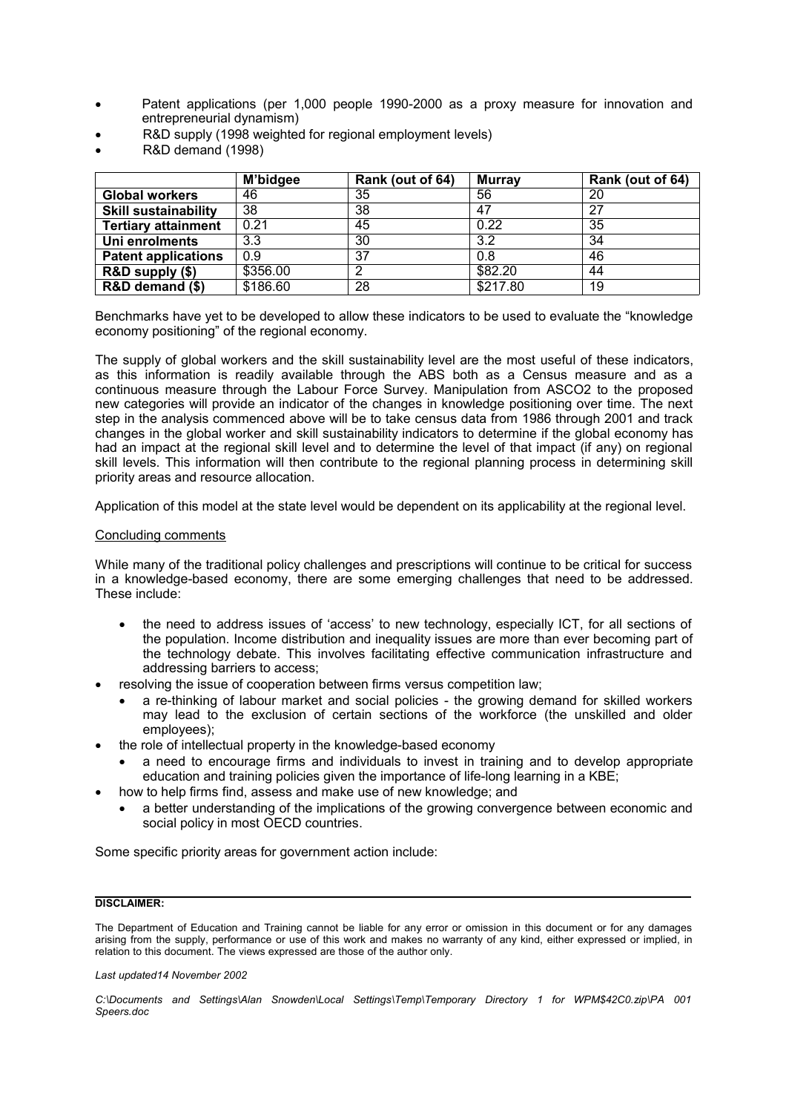- Patent applications (per 1,000 people 1990-2000 as a proxy measure for innovation and entrepreneurial dynamism)
- R&D supply (1998 weighted for regional employment levels)
- R&D demand (1998)

|                             | M'bidgee | Rank (out of 64) | <b>Murray</b> | Rank (out of 64) |
|-----------------------------|----------|------------------|---------------|------------------|
| <b>Global workers</b>       | 46       | 35               | 56            | 20               |
| <b>Skill sustainability</b> | 38       | 38               | 47            | 27               |
| <b>Tertiary attainment</b>  | 0.21     | 45               | 0.22          | 35               |
| Uni enrolments              | 3.3      | 30               | 3.2           | 34               |
| <b>Patent applications</b>  | 0.9      | 37               | 0.8           | 46               |
| R&D supply (\$)             | \$356.00 | ∩                | \$82.20       | 44               |
| R&D demand (\$)             | \$186.60 | 28               | \$217.80      | 19               |

Benchmarks have yet to be developed to allow these indicators to be used to evaluate the "knowledge economy positioning" of the regional economy.

The supply of global workers and the skill sustainability level are the most useful of these indicators, as this information is readily available through the ABS both as a Census measure and as a continuous measure through the Labour Force Survey. Manipulation from ASCO2 to the proposed new categories will provide an indicator of the changes in knowledge positioning over time. The next step in the analysis commenced above will be to take census data from 1986 through 2001 and track changes in the global worker and skill sustainability indicators to determine if the global economy has had an impact at the regional skill level and to determine the level of that impact (if any) on regional skill levels. This information will then contribute to the regional planning process in determining skill priority areas and resource allocation.

Application of this model at the state level would be dependent on its applicability at the regional level.

## Concluding comments

While many of the traditional policy challenges and prescriptions will continue to be critical for success in a knowledge-based economy, there are some emerging challenges that need to be addressed. These include:

- the need to address issues of 'access' to new technology, especially ICT, for all sections of the population. Income distribution and inequality issues are more than ever becoming part of the technology debate. This involves facilitating effective communication infrastructure and addressing barriers to access;
- resolving the issue of cooperation between firms versus competition law;
	- a re-thinking of labour market and social policies the growing demand for skilled workers may lead to the exclusion of certain sections of the workforce (the unskilled and older employees);
- the role of intellectual property in the knowledge-based economy
	- a need to encourage firms and individuals to invest in training and to develop appropriate education and training policies given the importance of life-long learning in a KBE;
- how to help firms find, assess and make use of new knowledge; and
	- a better understanding of the implications of the growing convergence between economic and social policy in most OECD countries.

Some specific priority areas for government action include:

# **DISCLAIMER:**

The Department of Education and Training cannot be liable for any error or omission in this document or for any damages arising from the supply, performance or use of this work and makes no warranty of any kind, either expressed or implied, in relation to this document. The views expressed are those of the author only.

*Last updated14 November 2002*